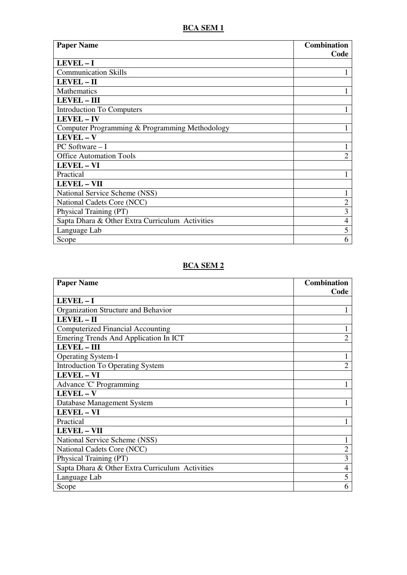## **BCA SEM 1**

| <b>Paper Name</b>                               | <b>Combination</b> |
|-------------------------------------------------|--------------------|
|                                                 | Code               |
| LEVEL-I                                         |                    |
| <b>Communication Skills</b>                     |                    |
| LEVEL - II                                      |                    |
| <b>Mathematics</b>                              |                    |
| <b>LEVEL - III</b>                              |                    |
| <b>Introduction To Computers</b>                | 1                  |
| LEVEL - IV                                      |                    |
| Computer Programming & Programming Methodology  |                    |
| LEVEL-V                                         |                    |
| $PC$ Software $-I$                              |                    |
| <b>Office Automation Tools</b>                  | $\overline{2}$     |
| <b>LEVEL - VI</b>                               |                    |
| Practical                                       |                    |
| <b>LEVEL - VII</b>                              |                    |
| National Service Scheme (NSS)                   |                    |
| National Cadets Core (NCC)                      | $\overline{2}$     |
| Physical Training (PT)                          | 3                  |
| Sapta Dhara & Other Extra Curriculum Activities | $\overline{4}$     |
| Language Lab                                    | 5                  |
| Scope                                           | 6                  |

#### **BCA SEM 2**

| <b>Paper Name</b>                               | <b>Combination</b> |
|-------------------------------------------------|--------------------|
|                                                 | Code               |
| $LEVEL - I$                                     |                    |
| Organization Structure and Behavior             |                    |
| LEVEL - II                                      |                    |
| <b>Computerized Financial Accounting</b>        |                    |
| Emering Trends And Application In ICT           | $\overline{2}$     |
| <b>LEVEL-III</b>                                |                    |
| <b>Operating System-I</b>                       | 1                  |
| <b>Introduction To Operating System</b>         | $\overline{2}$     |
| <b>LEVEL - VI</b>                               |                    |
| Advance 'C' Programming                         |                    |
| LEVEL - V                                       |                    |
| Database Management System                      |                    |
| <b>LEVEL-VI</b>                                 |                    |
| Practical                                       |                    |
| <b>LEVEL - VII</b>                              |                    |
| National Service Scheme (NSS)                   |                    |
| National Cadets Core (NCC)                      | $\overline{2}$     |
| Physical Training (PT)                          | 3                  |
| Sapta Dhara & Other Extra Curriculum Activities | 4                  |
| Language Lab                                    | 5                  |
| Scope                                           | 6                  |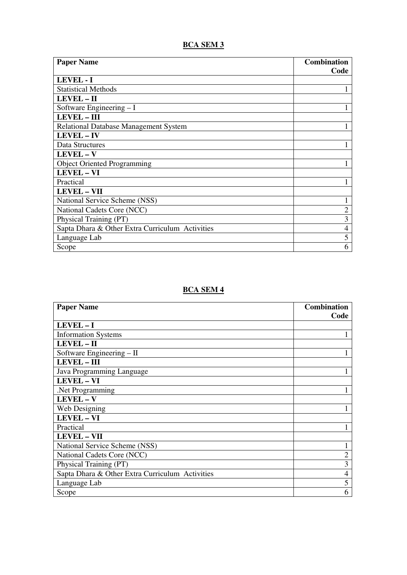# **BCA SEM 3**

| <b>Paper Name</b>                               | <b>Combination</b> |
|-------------------------------------------------|--------------------|
|                                                 | Code               |
| <b>LEVEL - I</b>                                |                    |
| <b>Statistical Methods</b>                      |                    |
| LEVEL - II                                      |                    |
| Software Engineering $-I$                       |                    |
| <b>LEVEL - III</b>                              |                    |
| Relational Database Management System           |                    |
| <b>LEVEL-IV</b>                                 |                    |
| Data Structures                                 |                    |
| LEVEL - V                                       |                    |
| <b>Object Oriented Programming</b>              |                    |
| <b>LEVEL - VI</b>                               |                    |
| Practical                                       |                    |
| <b>LEVEL - VII</b>                              |                    |
| National Service Scheme (NSS)                   |                    |
| National Cadets Core (NCC)                      | $\overline{c}$     |
| Physical Training (PT)                          | 3                  |
| Sapta Dhara & Other Extra Curriculum Activities | 4                  |
| Language Lab                                    | 5                  |
| Scope                                           | 6                  |

# **BCA SEM 4**

| <b>Paper Name</b>                               | <b>Combination</b> |
|-------------------------------------------------|--------------------|
|                                                 | Code               |
| LEVEL-I                                         |                    |
| <b>Information Systems</b>                      |                    |
| LEVEL - II                                      |                    |
| Software Engineering – II                       |                    |
| <b>LEVEL - III</b>                              |                    |
| Java Programming Language                       |                    |
| <b>LEVEL - VI</b>                               |                    |
| .Net Programming                                |                    |
| LEVEL - V                                       |                    |
| Web Designing                                   |                    |
| <b>LEVEL - VI</b>                               |                    |
| Practical                                       |                    |
| <b>LEVEL - VII</b>                              |                    |
| National Service Scheme (NSS)                   |                    |
| National Cadets Core (NCC)                      | $\overline{2}$     |
| Physical Training (PT)                          | 3                  |
| Sapta Dhara & Other Extra Curriculum Activities | $\overline{4}$     |
| Language Lab                                    | 5                  |
| Scope                                           | 6                  |